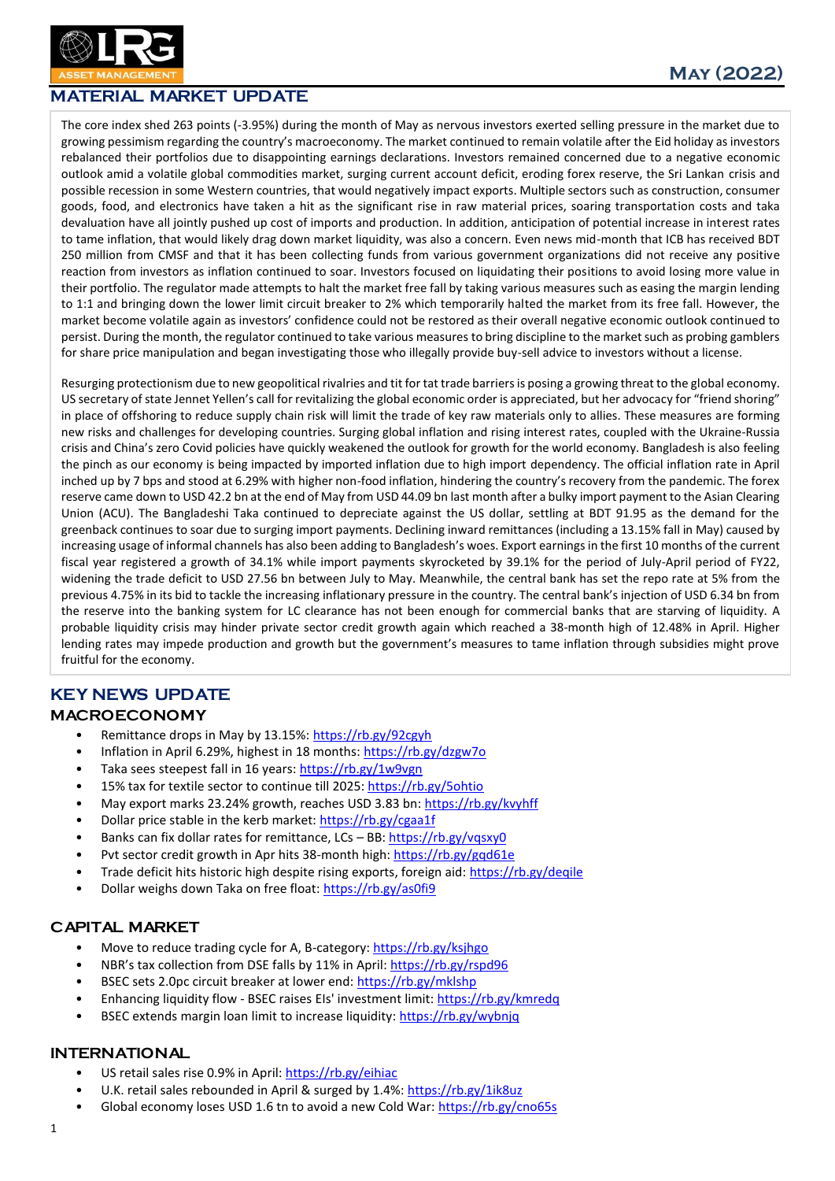

## MATERIAL MARKET UPDATE

The core index shed 263 points (-3.95%) during the month of May as nervous investors exerted selling pressure in the market due to growing pessimism regarding the country's macroeconomy. The market continued to remain volatile after the Eid holiday as investors rebalanced their portfolios due to disappointing earnings declarations. Investors remained concerned due to a negative economic outlook amid a volatile global commodities market, surging current account deficit, eroding forex reserve, the Sri Lankan crisis and possible recession in some Western countries, that would negatively impact exports. Multiple sectors such as construction, consumer goods, food, and electronics have taken a hit as the significant rise in raw material prices, soaring transportation costs and taka devaluation have all jointly pushed up cost of imports and production. In addition, anticipation of potential increase in interest rates to tame inflation, that would likely drag down market liquidity, was also a concern. Even news mid-month that ICB has received BDT 250 million from CMSF and that it has been collecting funds from various government organizations did not receive any positive reaction from investors as inflation continued to soar. Investors focused on liquidating their positions to avoid losing more value in their portfolio. The regulator made attempts to halt the market free fall by taking various measures such as easing the margin lending to 1:1 and bringing down the lower limit circuit breaker to 2% which temporarily halted the market from its free fall. However, the market become volatile again as investors' confidence could not be restored as their overall negative economic outlook continued to persist. During the month, the regulator continued to take various measures to bring discipline to the market such as probing gamblers for share price manipulation and began investigating those who illegally provide buy-sell advice to investors without a license.

Resurging protectionism due to new geopolitical rivalries and tit for tat trade barriers is posing a growing threat to the global economy. US secretary of state Jennet Yellen's call for revitalizing the global economic order is appreciated, but her advocacy for "friend shoring" in place of offshoring to reduce supply chain risk will limit the trade of key raw materials only to allies. These measures are forming new risks and challenges for developing countries. Surging global inflation and rising interest rates, coupled with the Ukraine-Russia crisis and China's zero Covid policies have quickly weakened the outlook for growth for the world economy. Bangladesh is also feeling the pinch as our economy is being impacted by imported inflation due to high import dependency. The official inflation rate in April inched up by 7 bps and stood at 6.29% with higher non-food inflation, hindering the country's recovery from the pandemic. The forex reserve came down to USD 42.2 bn at the end of May from USD 44.09 bn last month after a bulky import payment to the Asian Clearing Union (ACU). The Bangladeshi Taka continued to depreciate against the US dollar, settling at BDT 91.95 as the demand for the greenback continues to soar due to surging import payments. Declining inward remittances (including a 13.15% fall in May) caused by increasing usage of informal channels has also been adding to Bangladesh's woes. Export earnings in the first 10 months of the current fiscal year registered a growth of 34.1% while import payments skyrocketed by 39.1% for the period of July-April period of FY22, widening the trade deficit to USD 27.56 bn between July to May. Meanwhile, the central bank has set the repo rate at 5% from the previous 4.75% in its bid to tackle the increasing inflationary pressure in the country. The central bank's injection of USD 6.34 bn from the reserve into the banking system for LC clearance has not been enough for commercial banks that are starving of liquidity. A probable liquidity crisis may hinder private sector credit growth again which reached a 38-month high of 12.48% in April. Higher lending rates may impede production and growth but the government's measures to tame inflation through subsidies might prove fruitful for the economy.

## KEY NEWS UPDATE

#### MACROECONOMY

- Remittance drops in May by 13.15%:<https://rb.gy/92cgyh>
- Inflation in April 6.29%, highest in 18 months[: https://rb.gy/dzgw7o](https://rb.gy/dzgw7o)
- Taka sees steepest fall in 16 years:<https://rb.gy/1w9vgn>
- 15% tax for textile sector to continue till 2025[: https://rb.gy/5ohtio](https://rb.gy/5ohtio)
- May export marks 23.24% growth, reaches USD 3.83 bn:<https://rb.gy/kvyhff>
- Dollar price stable in the kerb market:<https://rb.gy/cgaa1f>
- Banks can fix dollar rates for remittance, LCs BB[: https://rb.gy/vqsxy0](https://rb.gy/vqsxy0)
- Pvt sector credit growth in Apr hits 38-month high:<https://rb.gy/gqd61e>
- Trade deficit hits historic high despite rising exports, foreign aid:<https://rb.gy/deqile>
- Dollar weighs down Taka on free float:<https://rb.gy/as0fi9>

### CAPITAL MARKET

- Move to reduce trading cycle for A, B-category:<https://rb.gy/ksjhgo>
- NBR's tax collection from DSE falls by 11% in April: <https://rb.gy/rspd96>
- BSEC sets 2.0pc circuit breaker at lower end[: https://rb.gy/mklshp](https://rb.gy/mklshp)
- Enhancing liquidity flow BSEC raises EIs' investment limit:<https://rb.gy/kmredq>
- BSEC extends margin loan limit to increase liquidity:<https://rb.gy/wybnjq>

### INTERNATIONAL

- US retail sales rise 0.9% in April[: https://rb.gy/eihiac](https://rb.gy/eihiac)
- U.K. retail sales rebounded in April & surged by 1.4%[: https://rb.gy/1ik8uz](https://rb.gy/1ik8uz)
- Global economy loses USD 1.6 tn to avoid a new Cold War[: https://rb.gy/cno65s](https://rb.gy/cno65s)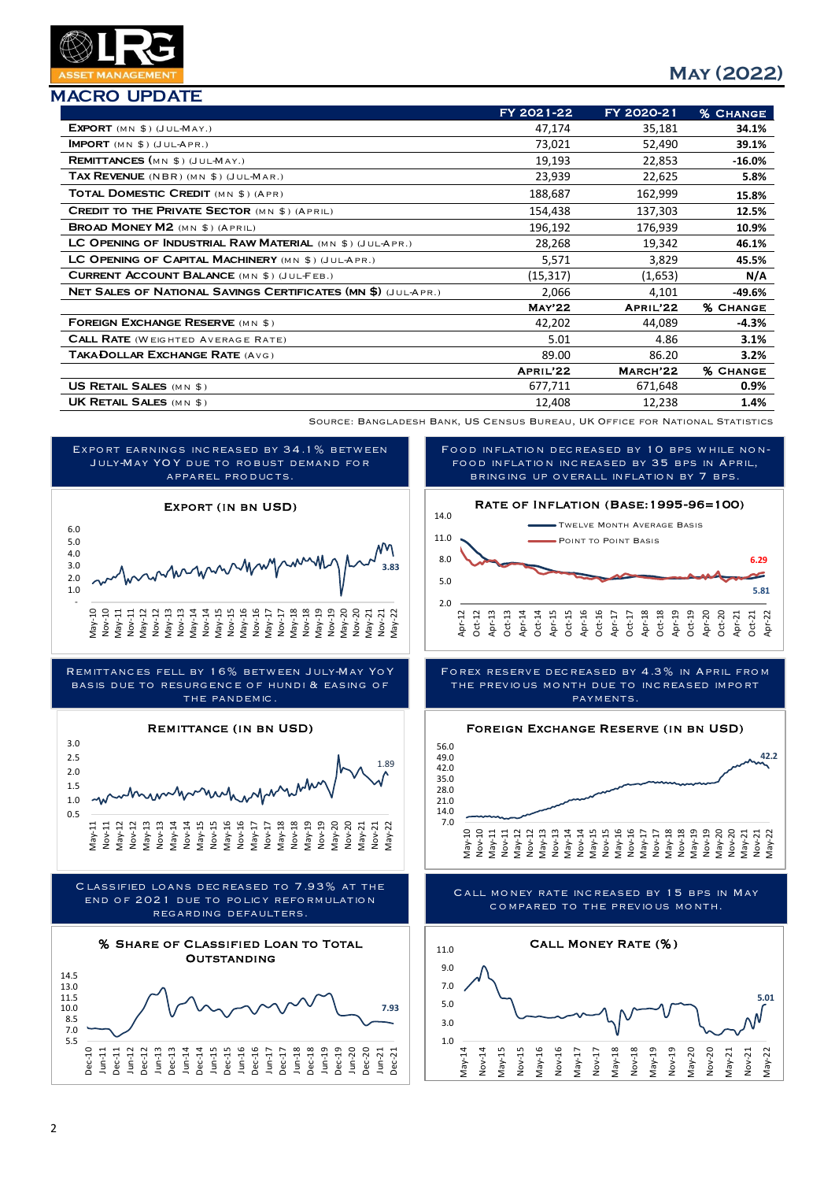

| <b>MACRO UPDATE</b> |
|---------------------|
|                     |

|                                                                      | FY 2021-22    | FY 2020-21 | <b>% CHANGE</b> |
|----------------------------------------------------------------------|---------------|------------|-----------------|
| EXPORT $(MN \$)$ (JUL-MAY.)                                          | 47,174        | 35,181     | 34.1%           |
| <b>IMPORT</b> (MN $$$ ) (JUL-APR.)                                   | 73,021        | 52,490     | 39.1%           |
| <b>REMITTANCES</b> (MN \$) (JUL-MAY.)                                | 19,193        | 22,853     | $-16.0\%$       |
| TAX REVENUE (NBR) (MN \$) (JUL-MAR.)                                 | 23,939        | 22,625     | 5.8%            |
| TOTAL DOMESTIC CREDIT (MN \$) (APR)                                  | 188,687       | 162,999    | 15.8%           |
| <b>CREDIT TO THE PRIVATE SECTOR (MN \$) (APRIL)</b>                  | 154,438       | 137,303    | 12.5%           |
| <b>BROAD MONEY M2</b> (MN \$) (APRIL)                                | 196,192       | 176,939    | 10.9%           |
| LC OPENING OF INDUSTRIAL RAW MATERIAL (MN \$) (JUL-APR.)             | 28,268        | 19,342     | 46.1%           |
| LC OPENING OF CAPITAL MACHINERY (MN \$) (JUL-APR.)                   | 5,571         | 3,829      | 45.5%           |
| <b>CURRENT ACCOUNT BALANCE</b> (MN \$) (JULFEB.)                     | (15, 317)     | (1,653)    | N/A             |
| <b>NET SALES OF NATIONAL SAVINGS CERTIFICATES (MN \$) (JUL-APR.)</b> | 2,066         | 4,101      | $-49.6%$        |
|                                                                      | <b>MAY'22</b> | APRIL'22   | <b>% CHANGE</b> |
| <b>FOREIGN EXCHANGE RESERVE (MN \$)</b>                              | 42,202        | 44,089     | $-4.3%$         |
| <b>CALL RATE</b> (WEIGHTED AVERAGE RATE)                             | 5.01          | 4.86       | 3.1%            |
| <b>TAKADOLLAR EXCHANGE RATE (AVG)</b>                                | 89.00         | 86.20      | $3.2\%$         |
|                                                                      | APRIL'22      | MARCH'22   | <b>% CHANGE</b> |
| <b>US RETAIL SALES (MN \$)</b>                                       | 677,711       | 671,648    | $0.9\%$         |
| <b>UK RETAIL SALES (MN \$)</b>                                       | 12,408        | 12,238     | 1.4%            |

Source: Bangladesh Bank, US Census Bureau, UK Office for National Statistics





Remittances fell by 16% between July-May YoY basis due to resurgence of hundi & easing of THE PANDEMIC.







Food inflation decreased by 10 bps while nonfood inflation increased by 35 bps in April, bringing up overall inflation by 7 bps.



Forex reserve decreased by 4.3% in April from the previous month due to increased import payments.



Call money rate increased by 15 bps in May compared to the previous month.

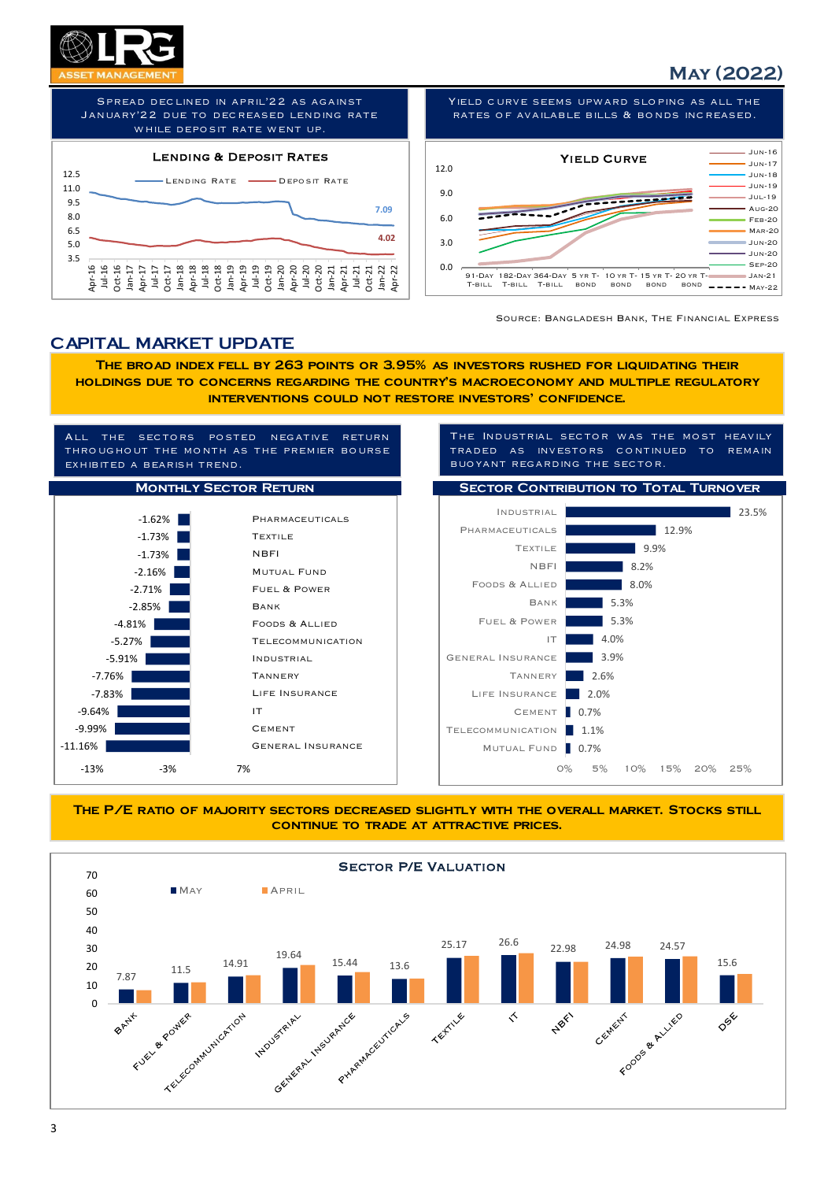

Spread declined in april'22 as against January'22 due to decreased lending rate WHILE DEPOSIT RATE WENT UP.



Yield curve seems upward sloping as all the rates of available bills & bonds increased.



Source: Bangladesh Bank, The Financial Express

## CAPITAL MARKET UPDATE

The broad index fell by 263 points or 3.95% as investors rushed for liquidating their holdings due to concerns regarding the country's macroeconomy and multiple regulatory interventions could not restore investors' confidence.





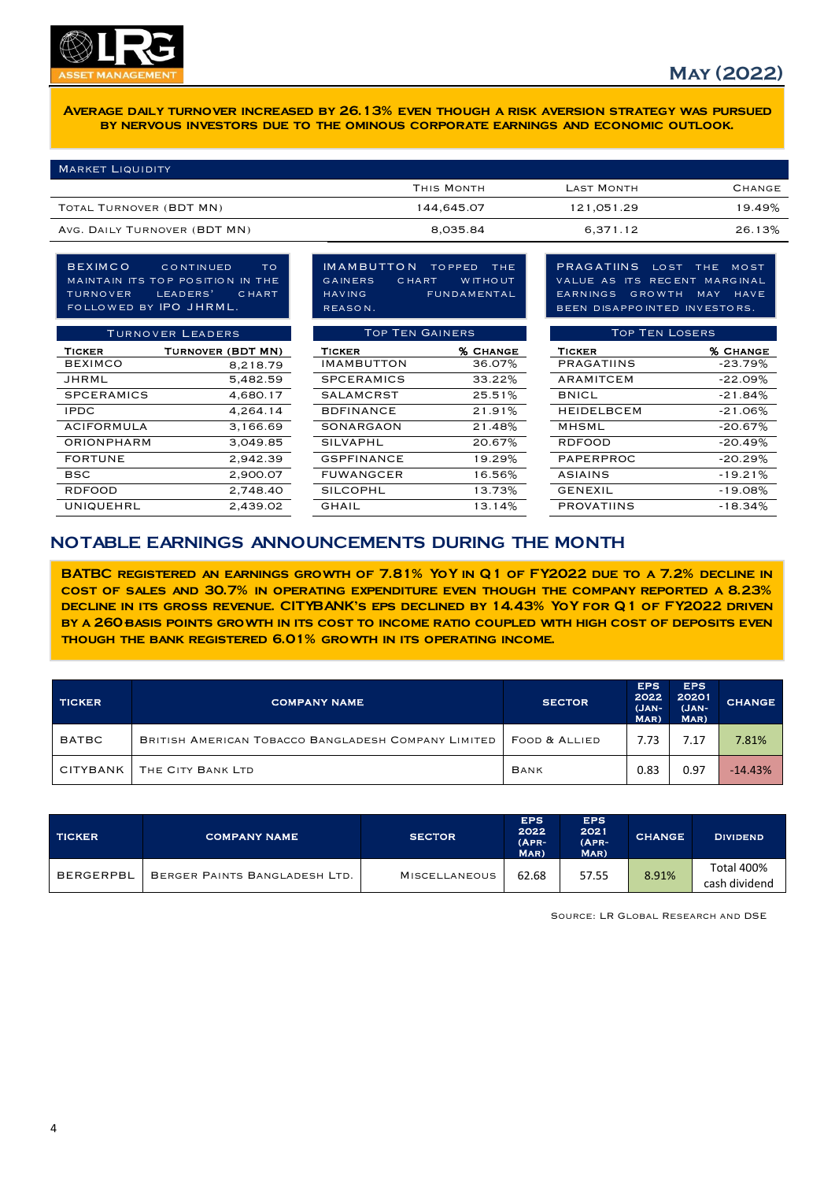

Average daily turnover increased by 26.13% even though a risk aversion strategy was pursued by nervous investors due to the ominous corporate earnings and economic outlook.

| <b>MARKET LIQUIDITY</b>      |            |                   |        |
|------------------------------|------------|-------------------|--------|
|                              | THIS MONTH | <b>LAST MONTH</b> | CHANGE |
| TOTAL TURNOVER (BDT MN)      | 144,645.07 | 121,051.29        | 19.49% |
| AVG. DAILY TURNOVER (BDT MN) | 8,035.84   | 6,371.12          | 26.13% |

TURNOVER LEADERS TICKER TURNOVER (BDT MN) TICKER 36.07% BEXIMCO 8,218.79 IMAMBUTTON 36.07% PRAGATIINS -23.79% JHRML 5,482.59 SPCERAMICS 33.22% ARAMITCEM -22.09%  $SPCERAMICS$  4.680.17 BEXIMCO CONTINUED TO maintain its top position in the turnover leaders' chart followed by IPO JHRML.

IMAMBUTTON TOPPED THE<br>GAINERS CHART WITHOUT CHART WITHOUT having fundamental reason.

| <b>TURNOVER LEADERS</b> |                   |  | <b>TOP TEN GAINERS</b> |                 |
|-------------------------|-------------------|--|------------------------|-----------------|
| <b>TICKER</b>           | TURNOVER (BDT MN) |  | <b>TICKER</b>          | <b>% CHANGE</b> |
| <b>BEXIMCO</b>          | 8,218.79          |  | <b>IMAMBUTTON</b>      | 36.07%          |
| JHRML                   | 5,482.59          |  | <b>SPCERAMICS</b>      | 33.22%          |
| <b>SPCERAMICS</b>       | 4,680.17          |  | <b>SALAMCRST</b>       | 25.51%          |
| <b>IPDC</b>             | 4.264.14          |  | <b>BDFINANCE</b>       | 21.91%          |
| <b>ACIFORMULA</b>       | 3,166.69          |  | SONARGAON              | 21.48%          |
| <b>ORIONPHARM</b>       | 3.049.85          |  | <b>SILVAPHL</b>        | 20.67%          |
| <b>FORTUNE</b>          | 2.942.39          |  | <b>GSPFINANCE</b>      | 19.29%          |
| <b>BSC</b>              | 2,900.07          |  | <b>FUWANGCER</b>       | 16.56%          |
| <b>RDFOOD</b>           | 2,748.40          |  | SILCOPHL               | 13.73%          |
| UNIQUEHRL               | 2,439.02          |  | GHAIL                  | 13.14%          |

PRAGATIINS LOST THE MOST value as its recent marginal earnings growth may have been disappointed investors.

|                   | <b>TURNOVER LEADERS</b> | <b>TOP TEN GAINERS</b> |                 | <b>TOP TEN LOSERS</b> |                 |
|-------------------|-------------------------|------------------------|-----------------|-----------------------|-----------------|
| TICKER            | TURNOVER (BDT MN)       | <b>TICKER</b>          | <b>% CHANGE</b> | <b>TICKER</b>         | <b>% CHANGE</b> |
| <b>BEXIMCO</b>    | 8,218.79                | <b>IMAMBUTTON</b>      | 36.07%          | PRAGATIINS            | $-23.79%$       |
| JHRML             | 5,482.59                | <b>SPCERAMICS</b>      | 33.22%          | ARAMITCEM             | $-22.09%$       |
| <b>SPCERAMICS</b> | 4,680.17                | <b>SALAMCRST</b>       | 25.51%          | <b>BNICL</b>          | $-21.84%$       |
| <b>IPDC</b>       | 4,264.14                | <b>BDFINANCE</b>       | 21.91%          | <b>HEIDELBCEM</b>     | $-21.06%$       |
| ACIFORMULA        | 3,166.69                | <b>SONARGAON</b>       | 21.48%          | MHSML                 | $-20.67%$       |
| ORIONPHARM        | 3.049.85                | <b>SILVAPHL</b>        | 20.67%          | <b>RDFOOD</b>         | $-20.49%$       |
| <b>FORTUNE</b>    | 2,942.39                | <b>GSPFINANCE</b>      | 19.29%          | PAPERPROC             | $-20.29%$       |
| <b>BSC</b>        | 2,900.07                | <b>FUWANGCER</b>       | 16.56%          | ASIAINS               | $-19.21%$       |
| <b>RDFOOD</b>     | 2,748.40                | <b>SILCOPHL</b>        | 13.73%          | <b>GENEXIL</b>        | $-19.08%$       |
| UNIQUEHRL         | 2,439.02                | GHAIL                  | 13.14%          | <b>PROVATIINS</b>     | $-18.34%$       |
|                   |                         |                        |                 |                       |                 |

## NOTABLE EARNINGS ANNOUNCEMENTS DURING THE MONTH

BATBC registered an earnings growth of 7.81% YoY in Q1 of FY2022 due to a 7.2% decline in cost of sales and 30.7% in operating expenditure even though the company reported a 8.23% DECLINE IN ITS GROSS REVENUE. CITYBANK'S EPS DECLINED BY 14.43% YOY FOR Q1 OF FY2022 DRIVEN BY A 260 BASIS POINTS GROWTH IN ITS COST TO INCOME RATIO COUPLED WITH HIGH COST OF DEPOSITS EVEN though the bank registered 6.01% growth in its operating income.

| <b>TICKER</b> | <b>COMPANY NAME</b>                                 | <b>SECTOR</b> | <b>EPS</b><br>2022<br>$(JAN-$<br>MAR) | <b>EPS</b><br>20201<br>$(JAN-$<br>MAR) | <b>CHANGE</b> |
|---------------|-----------------------------------------------------|---------------|---------------------------------------|----------------------------------------|---------------|
| <b>BATBC</b>  | BRITISH AMERICAN TOBACCO BANGLADESH COMPANY LIMITED | FOOD & ALLIED | 7.73                                  | 7.17                                   | 7.81%         |
| CITYBANK      | THE CITY BANK LTD                                   | BANK          | 0.83                                  | 0.97                                   | $-14.43%$     |

| <b>TICKER</b>    | <b>COMPANY NAME</b>           | <b>SECTOR</b>        | <b>EPS</b><br>2022<br>$(APR-$<br>MAR) | <b>EPS</b><br>2021<br>$(APR-$<br>$\textsf{MAR}$ ) | <b>CHANGE</b> | <b>DIVIDEND</b>             |
|------------------|-------------------------------|----------------------|---------------------------------------|---------------------------------------------------|---------------|-----------------------------|
| <b>BERGERPBL</b> | BERGER PAINTS BANGLADESH LTD. | <b>MISCELLANEOUS</b> | 62.68                                 | 57.55                                             | 8.91%         | Total 400%<br>cash dividend |

Source: LR Global Research and DSE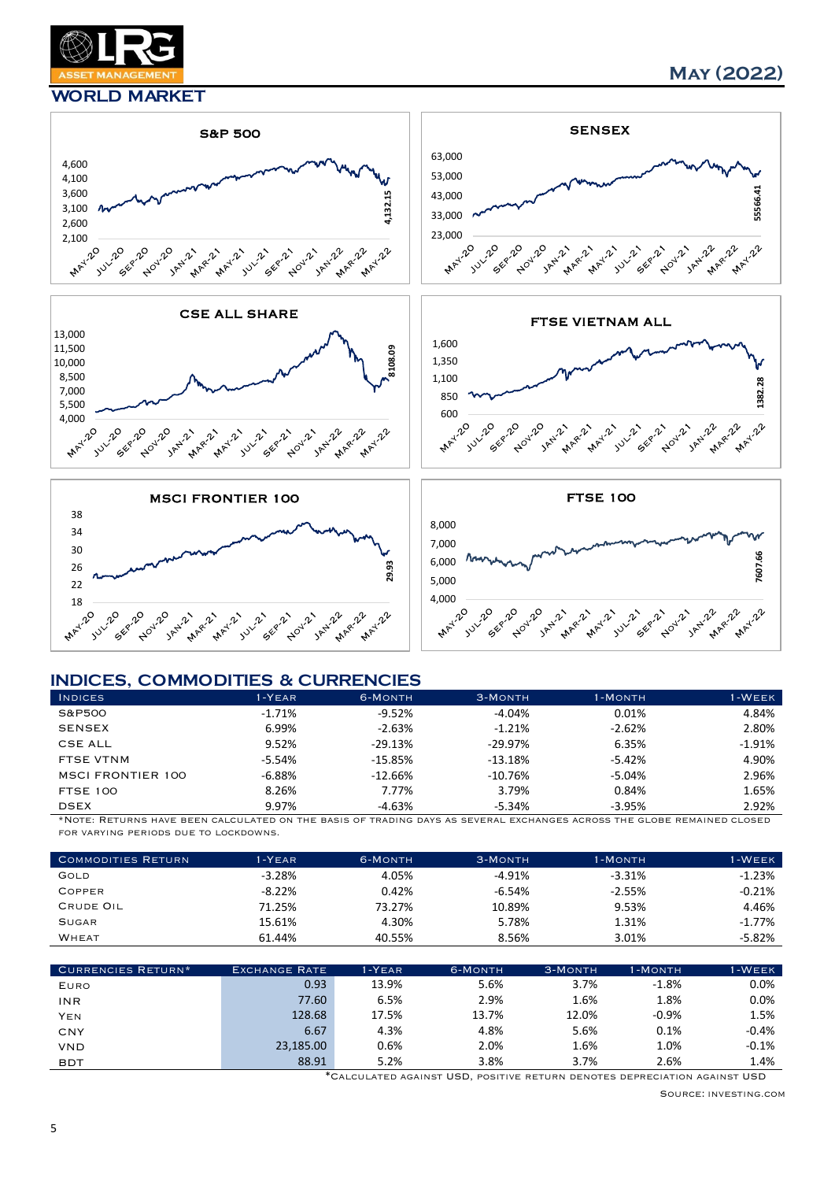

#### WORLD MARKET













#### INDICES, COMMODITIES & CURRENCIES

| 3,600<br>3,100<br>2,600<br>2,100<br>Julia 20<br>SEP-20<br><b>MAY-20</b><br>Aloy-20<br>JAN-21<br><b>MARYLY</b>                                  | JAN-22<br>MAY-21<br>SEP-21<br>JULIE 21<br>Nou-21                | 4,132.15<br>MARY 22<br>MAY-22     | 43,000<br>33,000<br>23,000<br><b>MAY-20</b><br><b>JULIED</b><br>SEP-20<br>Aloyz20           | <b>MARYLY</b><br>July 21<br>JAN-21<br>MAY-Z 21<br>SEP-21 | 55566.4<br>MARY-22<br><b>Nou-21</b><br>JAN-22<br><b>MAY-22</b>  |
|------------------------------------------------------------------------------------------------------------------------------------------------|-----------------------------------------------------------------|-----------------------------------|---------------------------------------------------------------------------------------------|----------------------------------------------------------|-----------------------------------------------------------------|
|                                                                                                                                                | <b>CSE ALL SHARE</b>                                            |                                   |                                                                                             | <b>FTSE VIETNAM ALL</b>                                  |                                                                 |
| 13,000<br>11,500<br>10,000<br>8,500<br>7,000<br>5,500<br>4,000<br><b>MAY-20</b><br><b>JULIED</b><br>SEP-20<br>Aoy-20<br>JAN.21<br><b>MARYL</b> | JAN-22<br>MAY-Z-21<br>JULIE 21<br>SEP-21<br>Nou-21              | 8108.09<br>MARY-22<br>MAY-22      | 1,600<br>1,350<br>1,100<br>850<br>600<br><b>MANZI2O</b><br>Julie 20<br>SEP-20<br>Aloy-20    | JANI2-2<br><b>MARYLY</b><br>MAY-21<br>July-21<br>SEP-21  | 1382.28<br><b>MARYLLE</b><br>MAY-222<br>JAN-22<br><b>Nou-21</b> |
|                                                                                                                                                | <b>MSCI FRONTIER 100</b>                                        |                                   |                                                                                             | <b>FTSE 100</b>                                          |                                                                 |
| 38<br>34<br>30<br>26<br>22<br>18<br><b>MAY-20</b><br>Julie 20<br>SEP-20<br>ADUV-20<br>JAN-221<br><b>MARYLY</b>                                 | JAN-22<br><b>MAY-2121</b><br>SEP-21<br>July 21<br><b>NOV-21</b> | 29.93<br>MAY-222<br><b>MARYLY</b> | 8,000<br>7,000<br>6,000<br>5,000<br>4,000<br>Julie 20<br>SEP-20<br>ADUV-20<br><b>MAY-20</b> | JAN'21<br><b>MARYLY</b><br>MAY-2-21<br>July 21<br>SEP-21 | 7607.66<br><b>MARYLLE</b><br>JAN-22<br>MAY-22<br>Nou-21         |
|                                                                                                                                                |                                                                 |                                   |                                                                                             |                                                          |                                                                 |
|                                                                                                                                                |                                                                 |                                   |                                                                                             |                                                          |                                                                 |
| <b>INDICES, COMMODITIES &amp; CURRENCIES</b><br><b>INDICES</b>                                                                                 | $1-YEAR$                                                        | 6-MONTH                           | 3-MONTH                                                                                     | 1-MONTH                                                  | $1 - W E E K$                                                   |
| S&P500                                                                                                                                         | $-1.71%$                                                        | $-9.52%$                          | $-4.04%$                                                                                    | 0.01%                                                    | 4.84%                                                           |
| <b>SENSEX</b>                                                                                                                                  | 6.99%                                                           | $-2.63%$                          | $-1.21%$                                                                                    | $-2.62%$                                                 | 2.80%                                                           |
| <b>CSE ALL</b>                                                                                                                                 | 9.52%                                                           | $-29.13%$                         | $-29.97%$                                                                                   | 6.35%                                                    | $-1.91%$                                                        |
| <b>FTSE VTNM</b>                                                                                                                               | $-5.54%$                                                        | $-15.85%$                         | $-13.18%$                                                                                   | $-5.42%$                                                 | 4.90%                                                           |
| <b>MSCI FRONTIER 100</b>                                                                                                                       | $-6.88%$                                                        | $-12.66%$                         | $-10.76%$                                                                                   | $-5.04%$                                                 | 2.96%                                                           |
| <b>FTSE 100</b>                                                                                                                                | 8.26%                                                           | 7.77%                             | 3.79%                                                                                       | 0.84%                                                    | 1.65%                                                           |
| <b>DSEX</b>                                                                                                                                    | 9.97%                                                           | $-4.63%$                          | $-5.34%$                                                                                    | $-3.95%$                                                 | 2.92%                                                           |
| *NOTE: RETURNS<br>FOR VARYING PERIODS DUE TO LOCKDOWNS.                                                                                        |                                                                 |                                   |                                                                                             |                                                          | $CD = 0$                                                        |
|                                                                                                                                                |                                                                 |                                   |                                                                                             |                                                          |                                                                 |
| <b>COMMODITIES RETURN</b>                                                                                                                      | $1-YEAR$                                                        | 6-MONTH                           | 3-MONTH                                                                                     | 1-MONTH                                                  | 1-WEEK                                                          |
| GOLD                                                                                                                                           | $-3.28%$                                                        | 4.05%                             | -4.91%                                                                                      | $-3.31%$                                                 | $-1.23%$                                                        |
| COPPER                                                                                                                                         | $-8.22%$                                                        | 0.42%                             | $-6.54%$                                                                                    | $-2.55%$                                                 | $-0.21%$                                                        |
| CRUDE OIL                                                                                                                                      | 71.25%                                                          | 73.27%                            | 10.89%                                                                                      | 9.53%                                                    | 4.46%                                                           |
| SUGAR                                                                                                                                          | 15.61%                                                          | 4.30%                             | 5.78%                                                                                       | 1.31%                                                    | $-1.77%$                                                        |
| WHEAT                                                                                                                                          | 61.44%                                                          | 40.55%                            | 8.56%                                                                                       | 3.01%                                                    | $-5.82%$                                                        |
| <b>CURRENCIES RETURN*</b>                                                                                                                      | <b>EXCHANGE RATE</b>                                            | $1-YEAR$                          | 6-MONTH                                                                                     | 3-MONTH                                                  | $1-WEEK$                                                        |
| EURO                                                                                                                                           | 0.93                                                            | 13.9%                             | 5.6%                                                                                        | $1 - M$ ONTH<br>3.7%                                     | $-1.8%$<br>0.0%                                                 |
| INR                                                                                                                                            | 77.60                                                           | 6.5%                              | 2.9%                                                                                        | 1.6%                                                     | 1.8%<br>0.0%                                                    |
| YEN                                                                                                                                            | 128.68                                                          | 17.5%                             | 13.7%                                                                                       | 12.0%                                                    | $-0.9%$<br>1.5%                                                 |
| CNY                                                                                                                                            | 6.67                                                            | 4.3%                              | 4.8%                                                                                        | 5.6%                                                     | 0.1%<br>$-0.4%$                                                 |
| <b>VND</b>                                                                                                                                     | 23,185.00                                                       | 0.6%                              | 2.0%                                                                                        | 1.6%                                                     | 1.0%<br>$-0.1%$                                                 |
| <b>BDT</b>                                                                                                                                     | 88.91                                                           | 5.2%                              | 3.8%                                                                                        | 3.7%                                                     | 2.6%<br>1.4%                                                    |

| <b>COMMODITIES RETURN</b> | I-YEAR    | 6-MONTH | 3-MONTH  | 1-MONTH  | 1-WEEK    |
|---------------------------|-----------|---------|----------|----------|-----------|
| GOLD                      | $-3.28%$  | 4.05%   | $-4.91%$ | $-3.31%$ | $-1.23%$  |
| COPPER                    | $-8.22\%$ | 0.42%   | $-6.54%$ | $-2.55%$ | $-0.21%$  |
| <b>CRUDE OIL</b>          | 71.25%    | 73.27%  | 10.89%   | 9.53%    | 4.46%     |
| <b>SUGAR</b>              | 15.61%    | 4.30%   | 5.78%    | 1.31%    | $-1.77\%$ |
| <b>WHEAT</b>              | 61.44%    | 40.55%  | 8.56%    | 3.01%    | $-5.82%$  |

| <b>CURRENCIES RETURN*</b> | <b>EXCHANGE RATE</b> | $1 - Y EAR$ | 6-MONTH | 3-MONTH | 1-MONTH | 1-WEEK  |
|---------------------------|----------------------|-------------|---------|---------|---------|---------|
| EURO                      | 0.93                 | 13.9%       | 5.6%    | 3.7%    | $-1.8%$ | 0.0%    |
| <b>INR</b>                | 77.60                | 6.5%        | 2.9%    | 1.6%    | 1.8%    | 0.0%    |
| <b>YEN</b>                | 128.68               | 17.5%       | 13.7%   | 12.0%   | $-0.9%$ | 1.5%    |
| CNY                       | 6.67                 | 4.3%        | 4.8%    | 5.6%    | 0.1%    | $-0.4%$ |
| <b>VND</b>                | 23,185.00            | 0.6%        | 2.0%    | 1.6%    | 1.0%    | $-0.1%$ |
| <b>BDT</b>                | 88.91                | 5.2%        | 3.8%    | 3.7%    | 2.6%    | 1.4%    |

Source: investing.com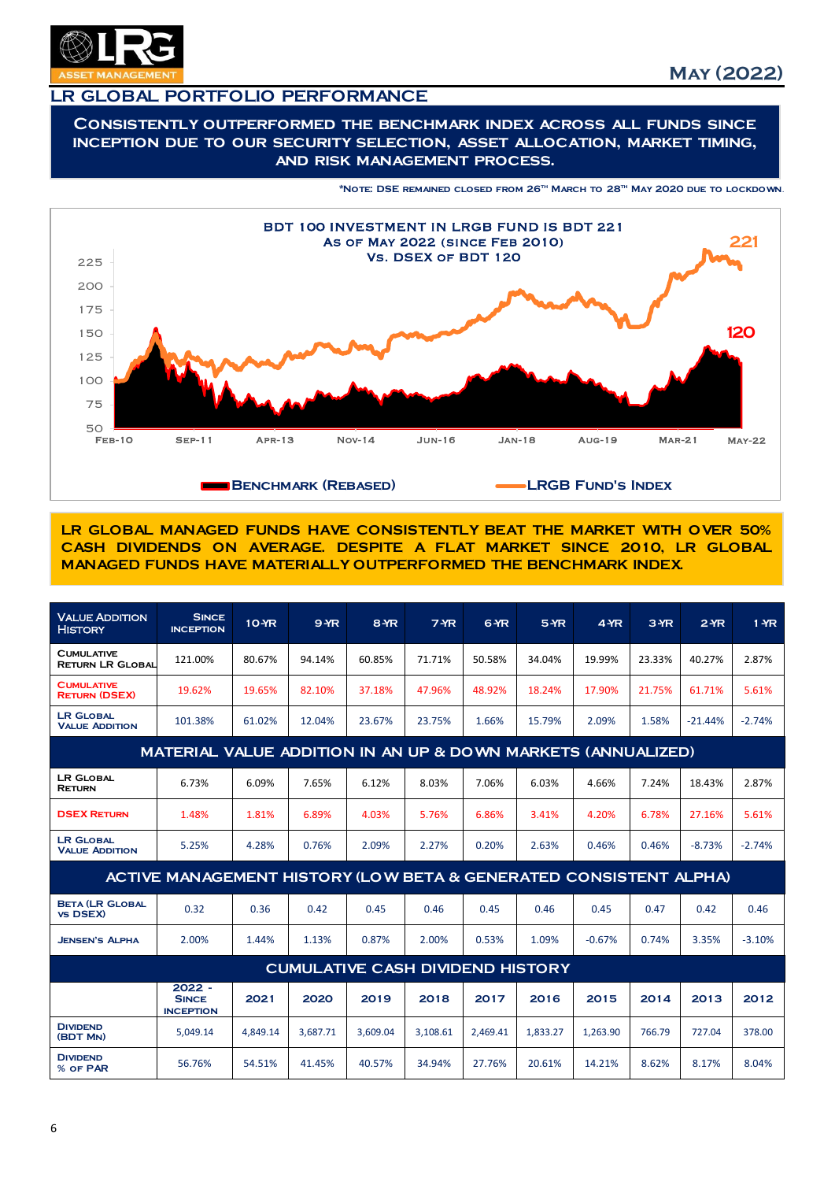

## LR GLOBAL PORTFOLIO PERFORMANCE

Consistently outperformed the benchmark index across all funds since inception due to our security selection, asset allocation, market timing, and risk management process.





LR GLOBAL MANAGED FUNDS HAVE CONSISTENTLY BEAT THE MARKET WITH OVER 50% CASH DIVIDENDS ON AVERAGE. DESPITE A FLAT MARKET SINCE 2010, LR GLOBAL MANAGED FUNDS HAVE MATERIALLY OUTPERFORMED THE BENCHMARK INDEX.

| <b>VALUE ADDITION</b><br><b>HISTORY</b>      | <b>SINCE</b><br><b>INCEPTION</b>                                  | <b>10-YR</b> | $9$ YR   | 8 YR     | 7 <sub>MR</sub>                         | 6 YR     | 5 YR     | 4 <sub>YR</sub> | 3 YR   | 2MR       | $1 - \text{YR}$ |
|----------------------------------------------|-------------------------------------------------------------------|--------------|----------|----------|-----------------------------------------|----------|----------|-----------------|--------|-----------|-----------------|
| <b>CUMULATIVE</b><br><b>RETURN LR GLOBAL</b> | 121.00%                                                           | 80.67%       | 94.14%   | 60.85%   | 71.71%                                  | 50.58%   | 34.04%   | 19.99%          | 23.33% | 40.27%    | 2.87%           |
| <b>CUMULATIVE</b><br><b>RETURN (DSEX)</b>    | 19.62%                                                            | 19.65%       | 82.10%   | 37.18%   | 47.96%                                  | 48.92%   | 18.24%   | 17.90%          | 21.75% | 61.71%    | 5.61%           |
| <b>LR GLOBAL</b><br><b>VALUE ADDITION</b>    | 101.38%                                                           | 61.02%       | 12.04%   | 23.67%   | 23.75%                                  | 1.66%    | 15.79%   | 2.09%           | 1.58%  | $-21.44%$ | $-2.74%$        |
|                                              | MATERIAL VALUE ADDITION IN AN UP & DOWN MARKETS (ANNUALIZED)      |              |          |          |                                         |          |          |                 |        |           |                 |
| <b>LR GLOBAL</b><br><b>RETURN</b>            | 6.73%                                                             | 6.09%        | 7.65%    | 6.12%    | 8.03%                                   | 7.06%    | 6.03%    | 4.66%           | 7.24%  | 18.43%    | 2.87%           |
| <b>DSEX RETURN</b>                           | 1.48%                                                             | 1.81%        | 6.89%    | 4.03%    | 5.76%                                   | 6.86%    | 3.41%    | 4.20%           | 6.78%  | 27.16%    | 5.61%           |
| <b>LR GLOBAL</b><br><b>VALUE ADDITION</b>    | 5.25%                                                             | 4.28%        | 0.76%    | 2.09%    | 2.27%                                   | 0.20%    | 2.63%    | 0.46%           | 0.46%  | $-8.73%$  | $-2.74%$        |
|                                              | ACTIVE MANAGEMENT HISTORY (LOW BETA & GENERATED CONSISTENT ALPHA) |              |          |          |                                         |          |          |                 |        |           |                 |
| <b>BETA (LR GLOBAL</b><br><b>VS DSEX)</b>    | 0.32                                                              | 0.36         | 0.42     | 0.45     | 0.46                                    | 0.45     | 0.46     | 0.45            | 0.47   | 0.42      | 0.46            |
| <b>JENSEN'S ALPHA</b>                        | 2.00%                                                             | 1.44%        | 1.13%    | 0.87%    | 2.00%                                   | 0.53%    | 1.09%    | $-0.67%$        | 0.74%  | 3.35%     | $-3.10%$        |
|                                              |                                                                   |              |          |          | <b>CUMULATIVE CASH DIVIDEND HISTORY</b> |          |          |                 |        |           |                 |
|                                              | $2022 -$<br><b>SINCE</b><br><b>INCEPTION</b>                      | 2021         | 2020     | 2019     | 2018                                    | 2017     | 2016     | 2015            | 2014   | 2013      | 2012            |
| <b>DIVIDEND</b><br>(BDT MN)                  | 5,049.14                                                          | 4,849.14     | 3,687.71 | 3.609.04 | 3,108.61                                | 2.469.41 | 1,833.27 | 1,263.90        | 766.79 | 727.04    | 378.00          |
| <b>DIVIDEND</b><br>% OF PAR                  | 56.76%                                                            | 54.51%       | 41.45%   | 40.57%   | 34.94%                                  | 27.76%   | 20.61%   | 14.21%          | 8.62%  | 8.17%     | 8.04%           |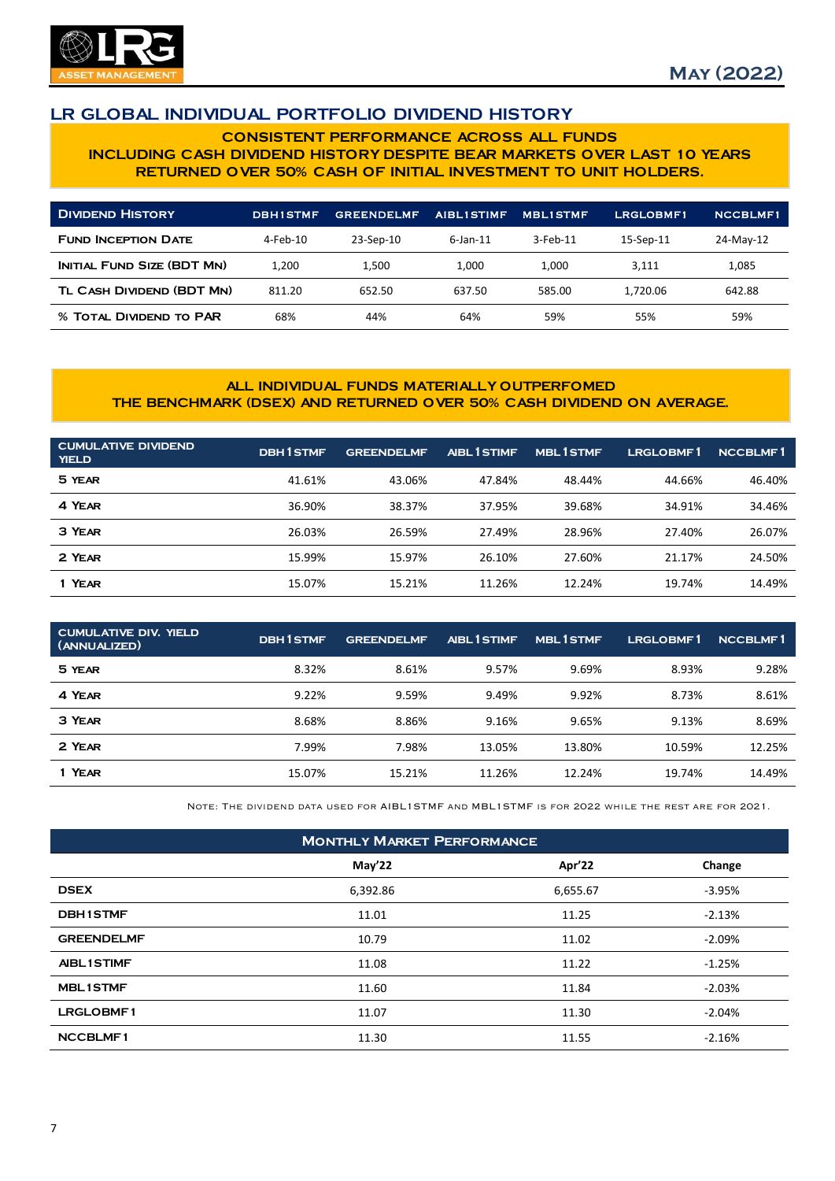

## LR GLOBAL INDIVIDUAL PORTFOLIO DIVIDEND HISTORY

#### CONSISTENT PERFORMANCE ACROSS ALL FUNDS INCLUDING CASH DIVIDEND HISTORY DESPITE BEAR MARKETS OVER LAST 10 YEARS RETURNED OVER 50% CASH OF INITIAL INVESTMENT TO UNIT HOLDERS.

| <b>DIVIDEND HISTORY</b>        | <b>DBH1STMF</b> | <b>GREENDELMF</b> | <b>AIBLISTIMF</b> | <b>MBLISTMF</b> | <b>LRGLOBMF1</b> | <b>NCCBLMF1</b> |
|--------------------------------|-----------------|-------------------|-------------------|-----------------|------------------|-----------------|
| <b>FUND INCEPTION DATE</b>     | 4-Feb-10        | 23-Sep-10         | $6$ -Jan-11       | 3-Feb-11        | 15-Sep-11        | 24-May-12       |
| INITIAL FUND SIZE (BDT MN)     | 1.200           | 1.500             | 1.000             | 1.000           | 3.111            | 1,085           |
| TL CASH DIVIDEND (BDT MN)      | 811.20          | 652.50            | 637.50            | 585.00          | 1,720.06         | 642.88          |
| <b>% TOTAL DIVIDEND TO PAR</b> | 68%             | 44%               | 64%               | 59%             | 55%              | 59%             |

#### ALL INDIVIDUAL FUNDS MATERIALLY OUTPERFOMED THE BENCHMARK (DSEX) AND RETURNED OVER 50% CASH DIVIDEND ON AVERAGE.

| <b>CUMULATIVE DIVIDEND</b><br><b>YIELD</b> | <b>DBH1STMF</b> | <b>GREENDELMF</b> | <b>AIBL I STIMF</b> | <b>MBL1STMF</b> | <b>LRGLOBMF1</b> | <b>NCCBLMF1</b> |
|--------------------------------------------|-----------------|-------------------|---------------------|-----------------|------------------|-----------------|
| 5 YEAR                                     | 41.61%          | 43.06%            | 47.84%              | 48.44%          | 44.66%           | 46.40%          |
| 4 YEAR                                     | 36.90%          | 38.37%            | 37.95%              | 39.68%          | 34.91%           | 34.46%          |
| 3 YEAR                                     | 26.03%          | 26.59%            | 27.49%              | 28.96%          | 27.40%           | 26.07%          |
| 2 YEAR                                     | 15.99%          | 15.97%            | 26.10%              | 27.60%          | 21.17%           | 24.50%          |
| 1 YEAR                                     | 15.07%          | 15.21%            | 11.26%              | 12.24%          | 19.74%           | 14.49%          |

| <b>CUMULATIVE DIV. YIELD</b><br>(ANNUALIZED) | <b>DBH1STMF</b> | <b>GREENDELMF</b> | <b>AIBL ISTIMF</b> | <b>MBL1STMF</b> | LRGLOBMF1 | <b>NCCBLMF1</b> |
|----------------------------------------------|-----------------|-------------------|--------------------|-----------------|-----------|-----------------|
| 5 YEAR                                       | 8.32%           | 8.61%             | 9.57%              | 9.69%           | 8.93%     | 9.28%           |
| 4 YEAR                                       | 9.22%           | 9.59%             | 9.49%              | 9.92%           | 8.73%     | 8.61%           |
| 3 YEAR                                       | 8.68%           | 8.86%             | 9.16%              | 9.65%           | 9.13%     | 8.69%           |
| 2 YEAR                                       | 7.99%           | 7.98%             | 13.05%             | 13.80%          | 10.59%    | 12.25%          |
| 1 YEAR                                       | 15.07%          | 15.21%            | 11.26%             | 12.24%          | 19.74%    | 14.49%          |

Note: The dividend data used for AIBL1STMF and MBL1STMF is for 2022 while the rest are for 2021.

| <b>MONTHLY MARKET PERFORMANCE</b> |          |          |          |  |  |  |
|-----------------------------------|----------|----------|----------|--|--|--|
|                                   | May'22   | Apr'22   | Change   |  |  |  |
| <b>DSEX</b>                       | 6,392.86 | 6,655.67 | $-3.95%$ |  |  |  |
| <b>DBH1STMF</b>                   | 11.01    | 11.25    | $-2.13%$ |  |  |  |
| <b>GREENDELMF</b>                 | 10.79    | 11.02    | $-2.09%$ |  |  |  |
| <b>AIBL1STIMF</b>                 | 11.08    | 11.22    | $-1.25%$ |  |  |  |
| <b>MBL1STMF</b>                   | 11.60    | 11.84    | $-2.03%$ |  |  |  |
| <b>LRGLOBMF1</b>                  | 11.07    | 11.30    | $-2.04%$ |  |  |  |
| <b>NCCBLMF1</b>                   | 11.30    | 11.55    | $-2.16%$ |  |  |  |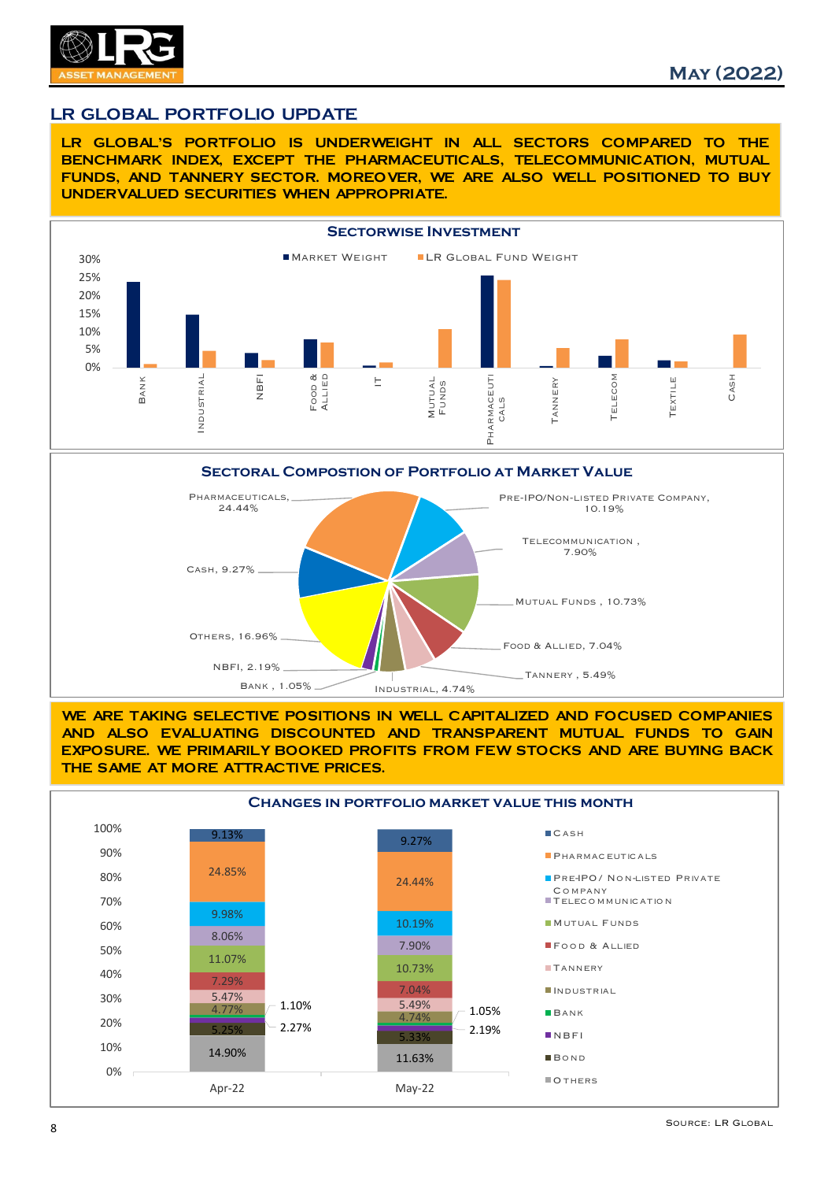

## LR GLOBAL PORTFOLIO UPDATE

LR GLOBAL'S PORTFOLIO IS UNDERWEIGHT IN ALL SECTORS COMPARED TO THE BENCHMARK INDEX, EXCEPT THE PHARMACEUTICALS, TELECOMMUNICATION, MUTUAL FUNDS, AND TANNERY SECTOR. MOREOVER, WE ARE ALSO WELL POSITIONED TO BUY UNDERVALUED SECURITIES WHEN APPROPRIATE.





WE ARE TAKING SELECTIVE POSITIONS IN WELL CAPITALIZED AND FOCUSED COMPANIES AND ALSO EVALUATING DISCOUNTED AND TRANSPARENT MUTUAL FUNDS TO GAIN EXPOSURE. WE PRIMARILY BOOKED PROFITS FROM FEW STOCKS AND ARE BUYING BACK THE SAME AT MORE ATTRACTIVE PRICES.